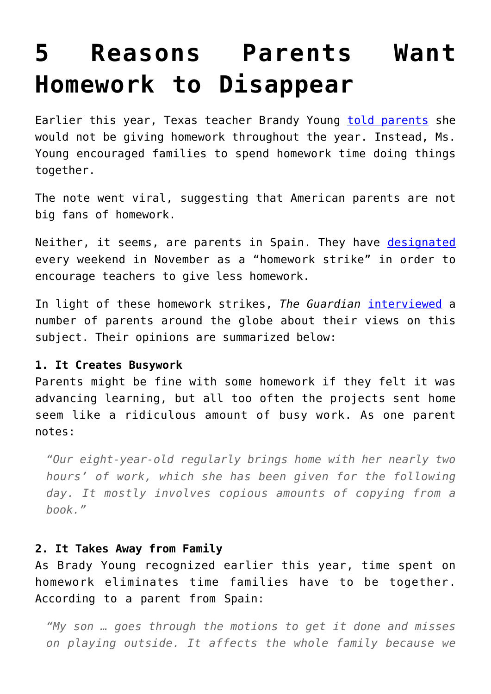# **[5 Reasons Parents Want](https://intellectualtakeout.org/2016/11/5-reasons-parents-want-homework-to-disappear/) [Homework to Disappear](https://intellectualtakeout.org/2016/11/5-reasons-parents-want-homework-to-disappear/)**

Earlier this year, Texas teacher Brandy Young [told parents](https://www.intellectualtakeout.org/blog/teacher-forget-homework-spend-time-family) she would not be giving homework throughout the year. Instead, Ms. Young encouraged families to spend homework time doing things together.

The note went viral, suggesting that American parents are not big fans of homework.

Neither, it seems, are parents in Spain. They have [designated](http://www.thelocal.es/20160923/spanish-parents-to-go-on-strike-over-too-much-homework) every weekend in November as a "homework strike" in order to encourage teachers to give less homework.

In light of these homework strikes, *The Guardian* [interviewed](https://www.theguardian.com/education/2016/nov/03/my-son-works-until-midnight-parents-around-the-world-on-homework) a number of parents around the globe about their views on this subject. Their opinions are summarized below:

#### **1. It Creates Busywork**

Parents might be fine with some homework if they felt it was advancing learning, but all too often the projects sent home seem like a ridiculous amount of busy work. As one parent notes:

*"Our eight-year-old regularly brings home with her nearly two hours' of work, which she has been given for the following day. It mostly involves copious amounts of copying from a book."*

# **2. It Takes Away from Family**

As Brady Young recognized earlier this year, time spent on homework eliminates time families have to be together. According to a parent from Spain:

*"My son … goes through the motions to get it done and misses on playing outside. It affects the whole family because we*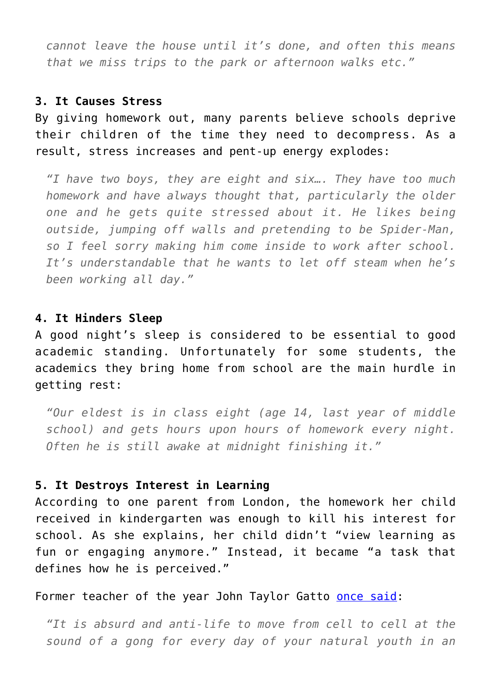*cannot leave the house until it's done, and often this means that we miss trips to the park or afternoon walks etc."*

# **3. It Causes Stress**

By giving homework out, many parents believe schools deprive their children of the time they need to decompress. As a result, stress increases and pent-up energy explodes:

*"I have two boys, they are eight and six…. They have too much homework and have always thought that, particularly the older one and he gets quite stressed about it. He likes being outside, jumping off walls and pretending to be Spider-Man, so I feel sorry making him come inside to work after school. It's understandable that he wants to let off steam when he's been working all day."*

#### **4. It Hinders Sleep**

A good night's sleep is considered to be essential to good academic standing. Unfortunately for some students, the academics they bring home from school are the main hurdle in getting rest:

*"Our eldest is in class eight (age 14, last year of middle school) and gets hours upon hours of homework every night. Often he is still awake at midnight finishing it."*

### **5. It Destroys Interest in Learning**

According to one parent from London, the homework her child received in kindergarten was enough to kill his interest for school. As she explains, her child didn't "view learning as fun or engaging anymore." Instead, it became "a task that defines how he is perceived."

Former teacher of the year John Taylor Gatto **once said**:

*"It is absurd and anti-life to move from cell to cell at the sound of a gong for every day of your natural youth in an*